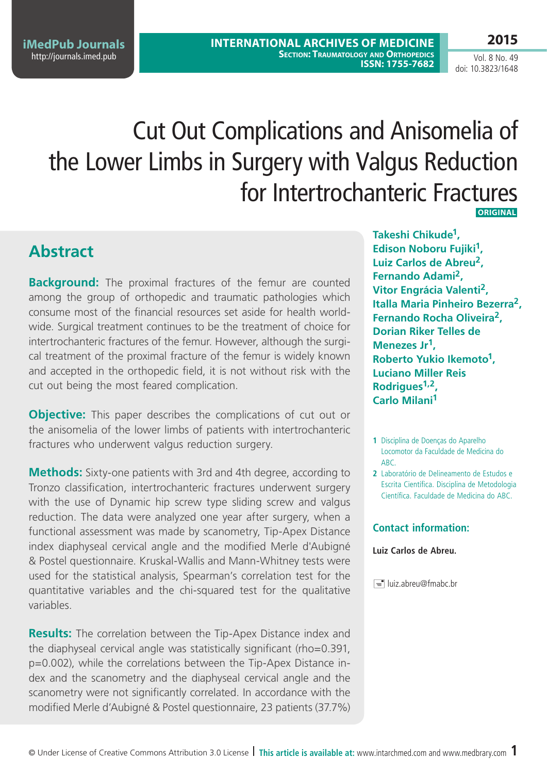**iMedPub Journals** <http://journals.imed.pub>

**2015**

Vol. 8 No. 49 doi: 10.3823/1648

# Cut Out Complications and Anisomelia of the Lower Limbs in Surgery with Valgus Reduction for Intertrochanteric Fractures **Original**

### **Abstract**

**Background:** The proximal fractures of the femur are counted among the group of orthopedic and traumatic pathologies which consume most of the financial resources set aside for health worldwide. Surgical treatment continues to be the treatment of choice for intertrochanteric fractures of the femur. However, although the surgical treatment of the proximal fracture of the femur is widely known and accepted in the orthopedic field, it is not without risk with the cut out being the most feared complication.

**Objective:** This paper describes the complications of cut out or the anisomelia of the lower limbs of patients with intertrochanteric fractures who underwent valgus reduction surgery.

**Methods:** Sixty-one patients with 3rd and 4th degree, according to Tronzo classification, intertrochanteric fractures underwent surgery with the use of Dynamic hip screw type sliding screw and valgus reduction. The data were analyzed one year after surgery, when a functional assessment was made by scanometry, Tip-Apex Distance index diaphyseal cervical angle and the modified Merle d'Aubigné & Postel questionnaire. Kruskal-Wallis and Mann-Whitney tests were used for the statistical analysis, Spearman's correlation test for the quantitative variables and the chi-squared test for the qualitative variables.

**Results:** The correlation between the Tip-Apex Distance index and the diaphyseal cervical angle was statistically significant (rho=0.391, p=0.002), while the correlations between the Tip-Apex Distance index and the scanometry and the diaphyseal cervical angle and the scanometry were not significantly correlated. In accordance with the modified Merle d'Aubigné & Postel questionnaire, 23 patients (37.7%)

**Takeshi Chikude1, Edison Noboru Fujiki1, Luiz Carlos de Abreu2, Fernando Adami2, Vitor Engrácia Valenti2, Italla Maria Pinheiro Bezerra2, Fernando Rocha Oliveira2, Dorian Riker Telles de Menezes Jr1, Roberto Yukio Ikemoto1, Luciano Miller Reis Rodrigues1,2, Carlo Milani1**

- **1** Disciplina de Doenças do Aparelho Locomotor da Faculdade de Medicina do ABC.
- **2** Laboratório de Delineamento de Estudos e Escrita Científica. Disciplina de Metodologia Científica. Faculdade de Medicina do ABC.

#### **Contact information:**

#### **Luiz Carlos de Abreu.**

luiz.abreu@fmabc.br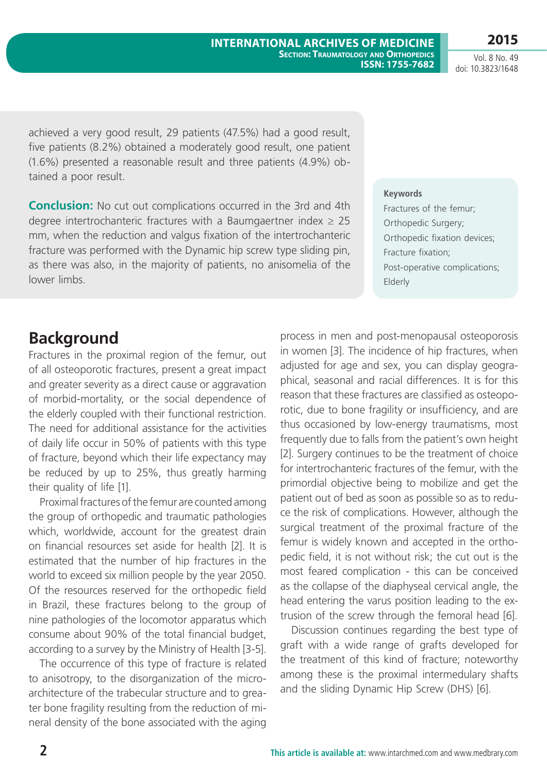**2 This article is available at:** [www.intarchmed.com](http://www.intarchmed.com) and www.medbrary.com

Vol. 8 No. 49 doi: 10.3823/1648

achieved a very good result, 29 patients (47.5%) had a good result, five patients (8.2%) obtained a moderately good result, one patient (1.6%) presented a reasonable result and three patients (4.9%) obtained a poor result.

**Conclusion:** No cut out complications occurred in the 3rd and 4th degree intertrochanteric fractures with a Baumgaertner index  $\geq 25$ mm, when the reduction and valgus fixation of the intertrochanteric fracture was performed with the Dynamic hip screw type sliding pin, as there was also, in the majority of patients, no anisomelia of the lower limbs.

#### **Keywords**

Fractures of the femur; Orthopedic Surgery; Orthopedic fixation devices; Fracture fixation; Post-operative complications; Elderly

## **Background**

Fractures in the proximal region of the femur, out of all osteoporotic fractures, present a great impact and greater severity as a direct cause or aggravation of morbid-mortality, or the social dependence of the elderly coupled with their functional restriction. The need for additional assistance for the activities of daily life occur in 50% of patients with this type of fracture, beyond which their life expectancy may be reduced by up to 25%, thus greatly harming their quality of life [1].

Proximal fractures of the femur are counted among the group of orthopedic and traumatic pathologies which, worldwide, account for the greatest drain on financial resources set aside for health [2]. It is estimated that the number of hip fractures in the world to exceed six million people by the year 2050. Of the resources reserved for the orthopedic field in Brazil, these fractures belong to the group of nine pathologies of the locomotor apparatus which consume about 90% of the total financial budget, according to a survey by the Ministry of Health [3-5].

The occurrence of this type of fracture is related to anisotropy, to the disorganization of the microarchitecture of the trabecular structure and to greater bone fragility resulting from the reduction of mineral density of the bone associated with the aging process in men and post-menopausal osteoporosis in women [3]. The incidence of hip fractures, when adjusted for age and sex, you can display geographical, seasonal and racial differences. It is for this reason that these fractures are classified as osteoporotic, due to bone fragility or insufficiency, and are thus occasioned by low-energy traumatisms, most frequently due to falls from the patient's own height [2]. Surgery continues to be the treatment of choice for intertrochanteric fractures of the femur, with the primordial objective being to mobilize and get the patient out of bed as soon as possible so as to reduce the risk of complications. However, although the surgical treatment of the proximal fracture of the femur is widely known and accepted in the orthopedic field, it is not without risk; the cut out is the most feared complication - this can be conceived as the collapse of the diaphyseal cervical angle, the head entering the varus position leading to the extrusion of the screw through the femoral head [6].

Discussion continues regarding the best type of graft with a wide range of grafts developed for the treatment of this kind of fracture; noteworthy among these is the proximal intermedulary shafts and the sliding Dynamic Hip Screw (DHS) [6].

### **2015**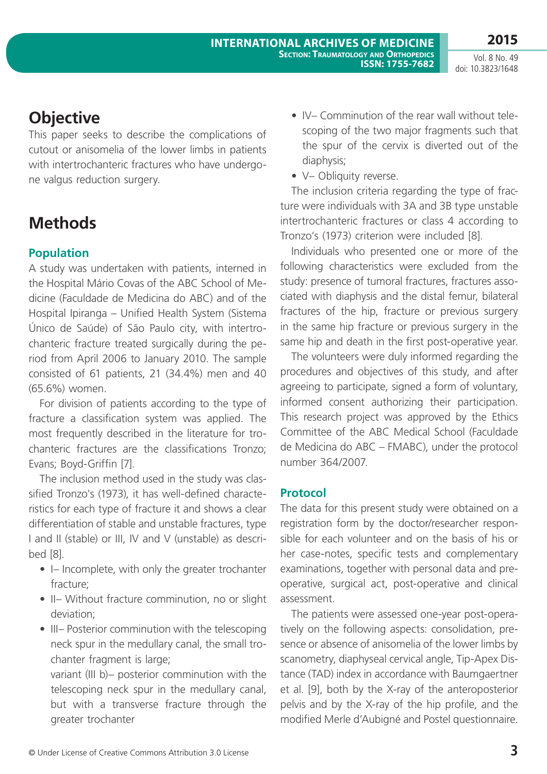## **Objective**

This paper seeks to describe the complications of cutout or anisomelia of the lower limbs in patients with intertrochanteric fractures who have undergone valgus reduction surgery.

## **Methods**

### **Population**

A study was undertaken with patients, interned in the Hospital Mário Covas of the ABC School of Medicine (Faculdade de Medicina do ABC) and of the Hospital Ipiranga – Unified Health System (Sistema Único de Saúde) of São Paulo city, with intertrochanteric fracture treated surgically during the period from April 2006 to January 2010. The sample consisted of 61 patients, 21 (34.4%) men and 40 (65.6%) women.

For division of patients according to the type of fracture a classification system was applied. The most frequently described in the literature for trochanteric fractures are the classifications Tronzo; Evans; Boyd-Griffin [7].

The inclusion method used in the study was classified Tronzo's (1973), it has well-defined characteristics for each type of fracture it and shows a clear differentiation of stable and unstable fractures, type I and II (stable) or III, IV and V (unstable) as described [8].

- I– Incomplete, with only the greater trochanter fracture;
- II– Without fracture comminution, no or slight deviation;
- III– Posterior comminution with the telescoping neck spur in the medullary canal, the small trochanter fragment is large;

variant (III b)– posterior comminution with the telescoping neck spur in the medullary canal, but with a transverse fracture through the greater trochanter

- IV– Comminution of the rear wall without telescoping of the two major fragments such that the spur of the cervix is diverted out of the diaphysis;
- V- Obliquity reverse.

The inclusion criteria regarding the type of fracture were individuals with 3A and 3B type unstable intertrochanteric fractures or class 4 according to Tronzo's (1973) criterion were included [8].

Individuals who presented one or more of the following characteristics were excluded from the study: presence of tumoral fractures, fractures associated with diaphysis and the distal femur, bilateral fractures of the hip, fracture or previous surgery in the same hip fracture or previous surgery in the same hip and death in the first post-operative year.

The volunteers were duly informed regarding the procedures and objectives of this study, and after agreeing to participate, signed a form of voluntary, informed consent authorizing their participation. This research project was approved by the Ethics Committee of the ABC Medical School (Faculdade de Medicina do ABC – FMABC), under the protocol number 364/2007.

### **Protocol**

The data for this present study were obtained on a registration form by the doctor/researcher responsible for each volunteer and on the basis of his or her case-notes, specific tests and complementary examinations, together with personal data and preoperative, surgical act, post-operative and clinical assessment.

The patients were assessed one-year post-operatively on the following aspects: consolidation, presence or absence of anisomelia of the lower limbs by scanometry, diaphyseal cervical angle, Tip-Apex Distance (TAD) index in accordance with Baumgaertner et al. [9], both by the X-ray of the anteroposterior pelvis and by the X-ray of the hip profile, and the modified Merle d'Aubigné and Postel questionnaire.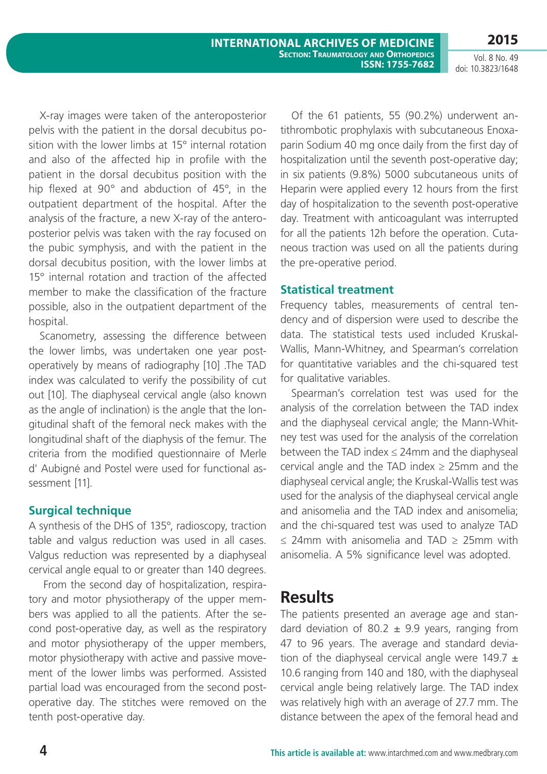X-ray images were taken of the anteroposterior pelvis with the patient in the dorsal decubitus position with the lower limbs at 15° internal rotation and also of the affected hip in profile with the patient in the dorsal decubitus position with the hip flexed at 90° and abduction of 45°, in the outpatient department of the hospital. After the analysis of the fracture, a new X-ray of the anteroposterior pelvis was taken with the ray focused on the pubic symphysis, and with the patient in the dorsal decubitus position, with the lower limbs at 15° internal rotation and traction of the affected member to make the classification of the fracture possible, also in the outpatient department of the hospital.

Scanometry, assessing the difference between the lower limbs, was undertaken one year postoperatively by means of radiography [10] .The TAD index was calculated to verify the possibility of cut out [10]. The diaphyseal cervical angle (also known as the angle of inclination) is the angle that the longitudinal shaft of the femoral neck makes with the longitudinal shaft of the diaphysis of the femur. The criteria from the modified questionnaire of Merle d' Aubigné and Postel were used for functional assessment [11].

### **Surgical technique**

A synthesis of the DHS of 135°, radioscopy, traction table and valgus reduction was used in all cases. Valgus reduction was represented by a diaphyseal cervical angle equal to or greater than 140 degrees.

 From the second day of hospitalization, respiratory and motor physiotherapy of the upper members was applied to all the patients. After the second post-operative day, as well as the respiratory and motor physiotherapy of the upper members, motor physiotherapy with active and passive movement of the lower limbs was performed. Assisted partial load was encouraged from the second postoperative day. The stitches were removed on the tenth post-operative day.

Of the 61 patients, 55 (90.2%) underwent antithrombotic prophylaxis with subcutaneous Enoxaparin Sodium 40 mg once daily from the first day of hospitalization until the seventh post-operative day; in six patients (9.8%) 5000 subcutaneous units of Heparin were applied every 12 hours from the first day of hospitalization to the seventh post-operative day. Treatment with anticoagulant was interrupted for all the patients 12h before the operation. Cutaneous traction was used on all the patients during the pre-operative period.

### **Statistical treatment**

Frequency tables, measurements of central tendency and of dispersion were used to describe the data. The statistical tests used included Kruskal-Wallis, Mann-Whitney, and Spearman's correlation for quantitative variables and the chi-squared test for qualitative variables.

Spearman's correlation test was used for the analysis of the correlation between the TAD index and the diaphyseal cervical angle; the Mann-Whitney test was used for the analysis of the correlation between the TAD index  $\leq$  24mm and the diaphyseal cervical angle and the TAD index  $\geq$  25mm and the diaphyseal cervical angle; the Kruskal-Wallis test was used for the analysis of the diaphyseal cervical angle and anisomelia and the TAD index and anisomelia; and the chi-squared test was used to analyze TAD ≤ 24mm with anisomelia and TAD ≥ 25mm with anisomelia. A 5% significance level was adopted.

### **Results**

The patients presented an average age and standard deviation of 80.2  $\pm$  9.9 years, ranging from 47 to 96 years. The average and standard deviation of the diaphyseal cervical angle were 149.7  $\pm$ 10.6 ranging from 140 and 180, with the diaphyseal cervical angle being relatively large. The TAD index was relatively high with an average of 27.7 mm. The distance between the apex of the femoral head and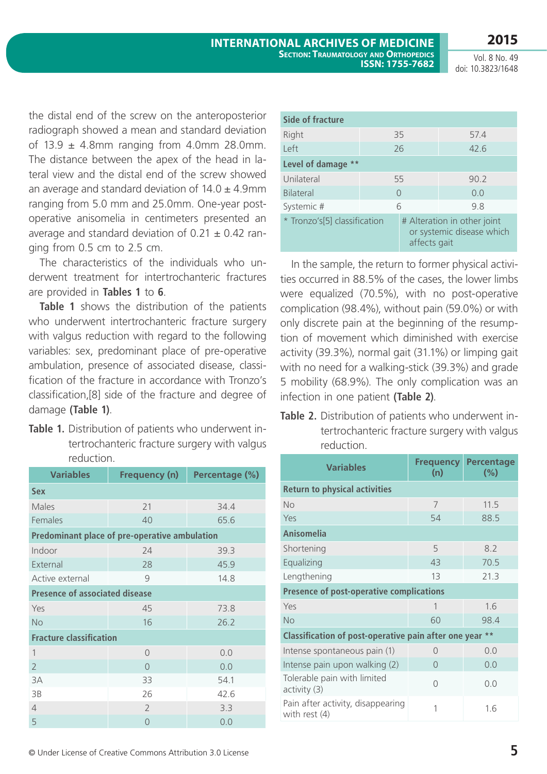**2015**

Vol. 8 No. 49 doi: 10.3823/1648

the distal end of the screw on the anteroposterior radiograph showed a mean and standard deviation of  $13.9 \pm 4.8$ mm ranging from  $4.0$ mm 28.0mm. The distance between the apex of the head in lateral view and the distal end of the screw showed an average and standard deviation of  $14.0 \pm 4.9$ mm ranging from 5.0 mm and 25.0mm. One-year postoperative anisomelia in centimeters presented an average and standard deviation of  $0.21 \pm 0.42$  ranging from 0.5 cm to 2.5 cm.

The characteristics of the individuals who underwent treatment for intertrochanteric fractures are provided in **Tables 1** to **6**.

**Table 1** shows the distribution of the patients who underwent intertrochanteric fracture surgery with valgus reduction with regard to the following variables: sex, predominant place of pre-operative ambulation, presence of associated disease, classification of the fracture in accordance with Tronzo's classification,[8] side of the fracture and degree of damage **(Table 1)**.

**Table 1.** Distribution of patients who underwent intertrochanteric fracture surgery with valgus reduction.

| <b>Variables</b>                      | <b>Frequency (n)</b>                          | Percentage (%) |  |  |  |  |  |
|---------------------------------------|-----------------------------------------------|----------------|--|--|--|--|--|
| <b>Sex</b>                            |                                               |                |  |  |  |  |  |
| Males                                 | 21                                            | 34.4           |  |  |  |  |  |
| Females                               | 40                                            | 65.6           |  |  |  |  |  |
|                                       | Predominant place of pre-operative ambulation |                |  |  |  |  |  |
| Indoor                                | 24                                            | 39.3           |  |  |  |  |  |
| External                              | 28                                            | 45.9           |  |  |  |  |  |
| Active external                       | $\mathcal{Q}$                                 | 14.8           |  |  |  |  |  |
| <b>Presence of associated disease</b> |                                               |                |  |  |  |  |  |
| Yes                                   | 45                                            | 73.8           |  |  |  |  |  |
| <b>No</b>                             | 16                                            | 26.2           |  |  |  |  |  |
| <b>Fracture classification</b>        |                                               |                |  |  |  |  |  |
| 1                                     | $\bigcap$                                     | 0.0            |  |  |  |  |  |
| $\overline{2}$                        | $\Omega$                                      | 0.0            |  |  |  |  |  |
| 3A                                    | 33                                            | 54.1           |  |  |  |  |  |
| 3B                                    | 26                                            | 42.6           |  |  |  |  |  |
| 4                                     | $\overline{2}$                                | 3.3            |  |  |  |  |  |
| 5                                     | $\Omega$                                      | 0.0            |  |  |  |  |  |

| Side of fracture             |            |              |                                                          |  |  |  |
|------------------------------|------------|--------------|----------------------------------------------------------|--|--|--|
| Right                        |            | 35           | 57.4                                                     |  |  |  |
| left                         |            | 26           | 42.6                                                     |  |  |  |
| Level of damage<br>$* *$     |            |              |                                                          |  |  |  |
| Unilateral                   | 90.2<br>55 |              |                                                          |  |  |  |
| <b>Bilateral</b>             |            | $\bigcap$    | 0.0                                                      |  |  |  |
| Systemic #                   | 9.8<br>6   |              |                                                          |  |  |  |
| * Tronzo's[5] classification |            | affects gait | # Alteration in other joint<br>or systemic disease which |  |  |  |

In the sample, the return to former physical activities occurred in 88.5% of the cases, the lower limbs were equalized (70.5%), with no post-operative complication (98.4%), without pain (59.0%) or with only discrete pain at the beginning of the resumption of movement which diminished with exercise activity (39.3%), normal gait (31.1%) or limping gait with no need for a walking-stick (39.3%) and grade 5 mobility (68.9%). The only complication was an infection in one patient **(Table 2)**.

**Table 2.** Distribution of patients who underwent intertrochanteric fracture surgery with valgus reduction.

| <b>Variables</b>                                       | <b>Frequency</b><br>(n) | <b>Percentage</b><br>$(\% )$ |  |  |  |  |
|--------------------------------------------------------|-------------------------|------------------------------|--|--|--|--|
| <b>Return to physical activities</b>                   |                         |                              |  |  |  |  |
| No                                                     | 7                       | 11.5                         |  |  |  |  |
| Yes                                                    | 54                      | 88.5                         |  |  |  |  |
| Anisomelia                                             |                         |                              |  |  |  |  |
| Shortening                                             | 5                       | 8.2                          |  |  |  |  |
| Equalizing                                             | 43                      | 70.5                         |  |  |  |  |
| Lengthening                                            | 13                      | 21.3                         |  |  |  |  |
| <b>Presence of post-operative complications</b>        |                         |                              |  |  |  |  |
| Yes                                                    | 1                       | 1.6                          |  |  |  |  |
| No                                                     | 60                      | 98.4                         |  |  |  |  |
| Classification of post-operative pain after one year   |                         | $**$                         |  |  |  |  |
| Intense spontaneous pain (1)                           | ∩                       | 0.0                          |  |  |  |  |
| Intense pain upon walking (2)                          | $\bigcap$               | 0.0                          |  |  |  |  |
| Tolerable pain with limited<br>activity <sub>(3)</sub> | $\bigcap$               | 0.0                          |  |  |  |  |
| Pain after activity, disappearing<br>with rest $(4)$   | 1                       | 1.6                          |  |  |  |  |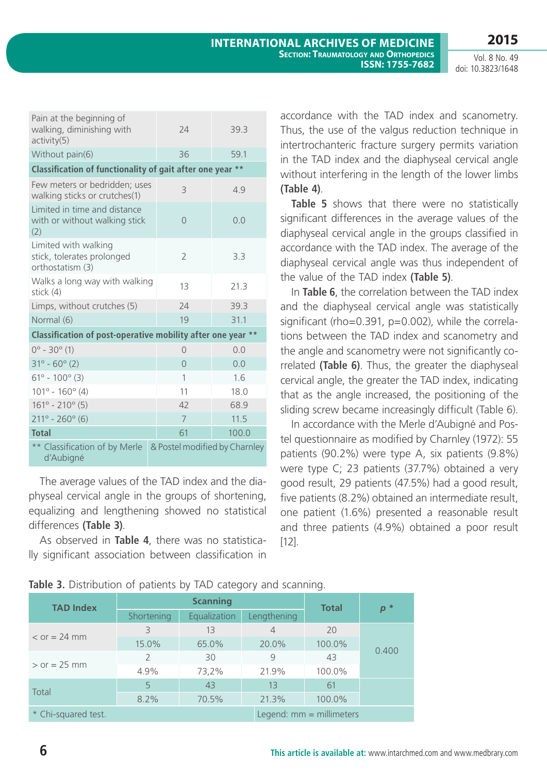**2015**

Vol. 8 No. 49 doi: 10.3823/1648

| Pain at the beginning of<br>walking, diminishing with<br>activity(5)   | 74                            | 39.3  |
|------------------------------------------------------------------------|-------------------------------|-------|
| Without pain(6)                                                        | 36                            | 59.1  |
| Classification of functionality of gait after one year                 |                               | $**$  |
| Few meters or bedridden; uses<br>walking sticks or crutches(1)         | 3                             | 4.9   |
| Limited in time and distance<br>with or without walking stick<br>(2)   | $\Omega$                      | 0.0   |
| Limited with walking<br>stick, tolerates prolonged<br>orthostatism (3) | $\overline{2}$                | 3.3   |
| Walks a long way with walking<br>stick (4)                             | 13                            | 21.3  |
| Limps, without crutches (5)                                            | 24                            | 39.3  |
| Normal (6)                                                             | 19                            | 31.1  |
| Classification of post-operative mobility after one year **            |                               |       |
| $0^{\circ}$ - 30 $^{\circ}$ (1)                                        | $\bigcap$                     | 0.0   |
| $31^{\circ} - 60^{\circ}$ (2)                                          | $\overline{0}$                | 0.0   |
| $61^{\circ} - 100^{\circ}$ (3)                                         | 1                             | 1.6   |
| $101^{\circ} - 160^{\circ} (4)$                                        | 11                            | 18.0  |
| $161^{\circ} - 210^{\circ}$ (5)                                        | 42                            | 68.9  |
| $211^{\circ} - 260^{\circ}$ (6)                                        | $\overline{7}$                | 11.5  |
| <b>Total</b>                                                           | 61                            | 100.0 |
| ** Classification of by Merle<br>d'Aubigné                             | & Postel modified by Charnley |       |

The average values of the TAD index and the diaphyseal cervical angle in the groups of shortening, equalizing and lengthening showed no statistical differences **(Table 3)**.

As observed in **Table 4**, there was no statistically significant association between classification in

accordance with the TAD index and scanometry. Thus, the use of the valgus reduction technique in intertrochanteric fracture surgery permits variation in the TAD index and the diaphyseal cervical angle without interfering in the length of the lower limbs **(Table 4)**.

**Table 5** shows that there were no statistically significant differences in the average values of the diaphyseal cervical angle in the groups classified in accordance with the TAD index. The average of the diaphyseal cervical angle was thus independent of the value of the TAD index **(Table 5)**.

In **Table 6**, the correlation between the TAD index and the diaphyseal cervical angle was statistically significant (rho=0.391, p=0.002), while the correlations between the TAD index and scanometry and the angle and scanometry were not significantly correlated **(Table 6)**. Thus, the greater the diaphyseal cervical angle, the greater the TAD index, indicating that as the angle increased, the positioning of the sliding screw became increasingly difficult (Table 6).

In accordance with the Merle d'Aubigné and Postel questionnaire as modified by Charnley (1972): 55 patients (90.2%) were type A, six patients (9.8%) were type C; 23 patients (37.7%) obtained a very good result, 29 patients (47.5%) had a good result, five patients (8.2%) obtained an intermediate result, one patient (1.6%) presented a reasonable result and three patients (4.9%) obtained a poor result [12].

|  |  | Table 3. Distribution of patients by TAD category and scanning. |  |  |  |  |  |  |  |
|--|--|-----------------------------------------------------------------|--|--|--|--|--|--|--|
|--|--|-----------------------------------------------------------------|--|--|--|--|--|--|--|

| <b>TAD Index</b>      |                   | <b>Scanning</b> | <b>Total</b>   | $p^*$                      |       |  |
|-----------------------|-------------------|-----------------|----------------|----------------------------|-------|--|
|                       | <b>Shortening</b> | Equalization    | Lengthening    |                            |       |  |
|                       | 3                 | 13              | $\overline{4}$ | 20                         |       |  |
| $\epsilon$ or = 24 mm | 15.0%             | 65.0%           | 20.0%          | 100.0%                     |       |  |
|                       | $\mathcal{P}$     | 30              | 9              | 43                         | 0.400 |  |
| $>$ or = 25 mm        | 4.9%              | 73,2%           | 21.9%          | 100.0%                     |       |  |
|                       | 5                 | 43              | 13             | 61                         |       |  |
| Total                 | 8.2%              | 70.5%           | 21.3%          | 100.0%                     |       |  |
| * Chi-squared test.   |                   |                 |                | Legend: $mm =$ millimeters |       |  |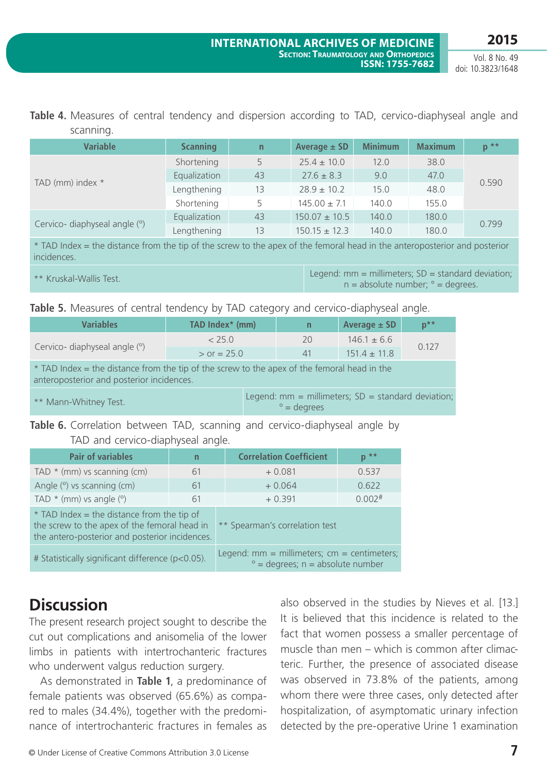#### **Table 4.** Measures of central tendency and dispersion according to TAD, cervico-diaphyseal angle and scanning.

| <b>Variable</b>               | <b>Scanning</b> | $\overline{n}$ | Average $\pm$ SD  | <b>Minimum</b> | <b>Maximum</b> | $p^*$ |  |
|-------------------------------|-----------------|----------------|-------------------|----------------|----------------|-------|--|
| TAD (mm) index *              | Shortening      | 5              | $25.4 \pm 10.0$   | 12.0           | 38.0           |       |  |
|                               | Equalization    | 43             | $27.6 \pm 8.3$    | 9.0            | 47.0           | 0.590 |  |
|                               | Lengthening     | 13             | $28.9 \pm 10.2$   | 15.0           | 48.0           |       |  |
|                               | Shortening      | 5              | $145.00 \pm 7.1$  | 140.0          | 155.0          |       |  |
| Cervico- diaphyseal angle (°) | Equalization    | 43             | $150.07 \pm 10.5$ | 140.0          | 180.0          | 0.799 |  |
|                               | Lengthening     | 13             | $150.15 \pm 12.3$ | 140.0          | 180.0          |       |  |

\* TAD Index = the distance from the tip of the screw to the apex of the femoral head in the anteroposterior and posterior incidences.

\*\* Kruskal-Wallis Test. Legend: mm = millimeters; SD = standard deviation;  $n = absolute number;  $° = degrees$ .$ 

**Table 5.** Measures of central tendency by TAD category and cervico-diaphyseal angle.

| <b>Variables</b>                                                                                                                         | TAD Index* (mm) |  | n                   | Average $\pm$ SD                                      | $p^{\star\star}$ |  |
|------------------------------------------------------------------------------------------------------------------------------------------|-----------------|--|---------------------|-------------------------------------------------------|------------------|--|
|                                                                                                                                          | < 25.0          |  | 20                  | $146.1 \pm 6.6$                                       | 0.127            |  |
| Cervico- diaphyseal angle (°)                                                                                                            | $>$ or = 25.0   |  | 41                  | $151.4 + 11.8$                                        |                  |  |
| * TAD Index = the distance from the tip of the screw to the apex of the femoral head in the<br>anteroposterior and posterior incidences. |                 |  |                     |                                                       |                  |  |
| ** Mann-Whitney Test.                                                                                                                    |                 |  | $\degree$ = degrees | Legend: $mm = millimeters$ ; SD = standard deviation; |                  |  |
|                                                                                                                                          |                 |  |                     |                                                       |                  |  |

**Table 6.** Correlation between TAD, scanning and cervico-diaphyseal angle by TAD and cervico-diaphyseal angle.

| <b>Pair of variables</b>                                                                                                                       | n  | <b>Correlation Coefficient</b>                                                                  | $p^*$                |  |  |
|------------------------------------------------------------------------------------------------------------------------------------------------|----|-------------------------------------------------------------------------------------------------|----------------------|--|--|
| TAD $*$ (mm) vs scanning (cm)                                                                                                                  | 61 | $+0.081$                                                                                        | 0.537                |  |  |
| Angle (°) vs scanning (cm)                                                                                                                     | 61 | $+0.064$                                                                                        | 0.622                |  |  |
| TAD $*$ (mm) vs angle $(°)$                                                                                                                    | 61 | $+0.391$                                                                                        | $0.002$ <sup>#</sup> |  |  |
| $*$ TAD Index = the distance from the tip of<br>the screw to the apex of the femoral head in<br>the antero-posterior and posterior incidences. |    | ** Spearman's correlation test                                                                  |                      |  |  |
| # Statistically significant difference (p<0.05).                                                                                               |    | Legend: $mm = millimeters$ ; $cm = centimeters$ ;<br>$\degree$ = degrees; $n =$ absolute number |                      |  |  |

## **Discussion**

The present research project sought to describe the cut out complications and anisomelia of the lower limbs in patients with intertrochanteric fractures who underwent valgus reduction surgery.

As demonstrated in **Table 1**, a predominance of female patients was observed (65.6%) as compared to males (34.4%), together with the predominance of intertrochanteric fractures in females as also observed in the studies by Nieves et al. [13.] It is believed that this incidence is related to the fact that women possess a smaller percentage of muscle than men – which is common after climacteric. Further, the presence of associated disease was observed in 73.8% of the patients, among whom there were three cases, only detected after hospitalization, of asymptomatic urinary infection detected by the pre-operative Urine 1 examination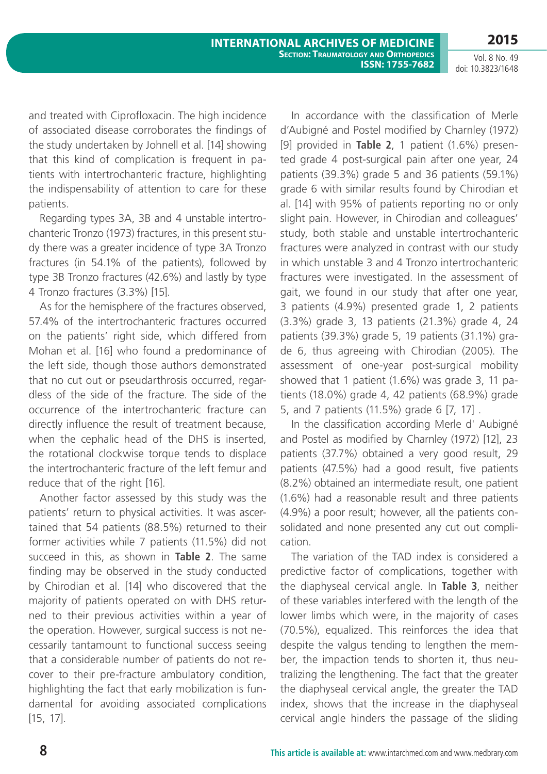and treated with Ciprofloxacin. The high incidence of associated disease corroborates the findings of the study undertaken by Johnell et al. [14] showing that this kind of complication is frequent in patients with intertrochanteric fracture, highlighting the indispensability of attention to care for these patients.

Regarding types 3A, 3B and 4 unstable intertrochanteric Tronzo (1973) fractures, in this present study there was a greater incidence of type 3A Tronzo fractures (in 54.1% of the patients), followed by type 3B Tronzo fractures (42.6%) and lastly by type 4 Tronzo fractures (3.3%) [15].

As for the hemisphere of the fractures observed, 57.4% of the intertrochanteric fractures occurred on the patients' right side, which differed from Mohan et al. [16] who found a predominance of the left side, though those authors demonstrated that no cut out or pseudarthrosis occurred, regardless of the side of the fracture. The side of the occurrence of the intertrochanteric fracture can directly influence the result of treatment because, when the cephalic head of the DHS is inserted, the rotational clockwise torque tends to displace the intertrochanteric fracture of the left femur and reduce that of the right [16].

Another factor assessed by this study was the patients' return to physical activities. It was ascertained that 54 patients (88.5%) returned to their former activities while 7 patients (11.5%) did not succeed in this, as shown in **Table 2**. The same finding may be observed in the study conducted by Chirodian et al. [14] who discovered that the majority of patients operated on with DHS returned to their previous activities within a year of the operation. However, surgical success is not necessarily tantamount to functional success seeing that a considerable number of patients do not recover to their pre-fracture ambulatory condition, highlighting the fact that early mobilization is fundamental for avoiding associated complications [15, 17].

In accordance with the classification of Merle d'Aubigné and Postel modified by Charnley (1972) [9] provided in **Table 2**, 1 patient (1.6%) presented grade 4 post-surgical pain after one year, 24 patients (39.3%) grade 5 and 36 patients (59.1%) grade 6 with similar results found by Chirodian et al. [14] with 95% of patients reporting no or only slight pain. However, in Chirodian and colleagues' study, both stable and unstable intertrochanteric fractures were analyzed in contrast with our study in which unstable 3 and 4 Tronzo intertrochanteric fractures were investigated. In the assessment of gait, we found in our study that after one year, 3 patients (4.9%) presented grade 1, 2 patients (3.3%) grade 3, 13 patients (21.3%) grade 4, 24 patients (39.3%) grade 5, 19 patients (31.1%) grade 6, thus agreeing with Chirodian (2005). The assessment of one-year post-surgical mobility showed that 1 patient (1.6%) was grade 3, 11 patients (18.0%) grade 4, 42 patients (68.9%) grade 5, and 7 patients (11.5%) grade 6 [7, 17] .

In the classification according Merle d' Aubigné and Postel as modified by Charnley (1972) [12], 23 patients (37.7%) obtained a very good result, 29 patients (47.5%) had a good result, five patients (8.2%) obtained an intermediate result, one patient (1.6%) had a reasonable result and three patients (4.9%) a poor result; however, all the patients consolidated and none presented any cut out complication.

The variation of the TAD index is considered a predictive factor of complications, together with the diaphyseal cervical angle. In **Table 3**, neither of these variables interfered with the length of the lower limbs which were, in the majority of cases (70.5%), equalized. This reinforces the idea that despite the valgus tending to lengthen the member, the impaction tends to shorten it, thus neutralizing the lengthening. The fact that the greater the diaphyseal cervical angle, the greater the TAD index, shows that the increase in the diaphyseal cervical angle hinders the passage of the sliding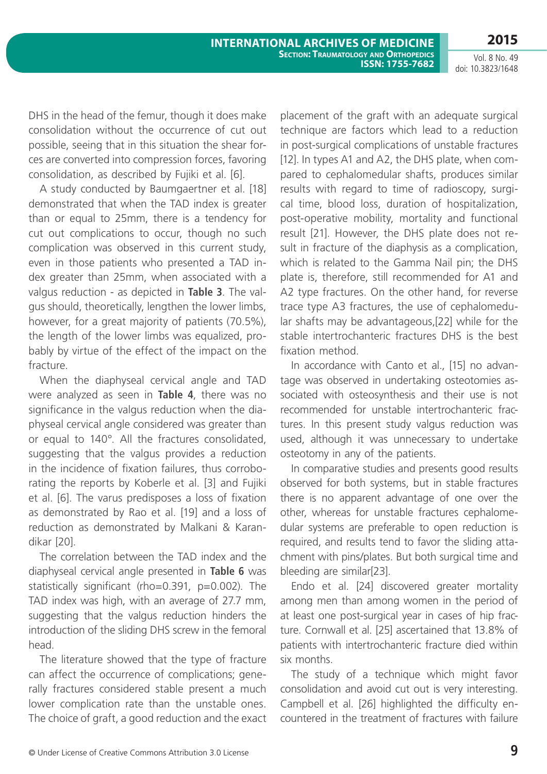DHS in the head of the femur, though it does make consolidation without the occurrence of cut out possible, seeing that in this situation the shear forces are converted into compression forces, favoring consolidation, as described by Fujiki et al. [6].

A study conducted by Baumgaertner et al. [18] demonstrated that when the TAD index is greater than or equal to 25mm, there is a tendency for cut out complications to occur, though no such complication was observed in this current study, even in those patients who presented a TAD index greater than 25mm, when associated with a valgus reduction - as depicted in **Table 3**. The valgus should, theoretically, lengthen the lower limbs, however, for a great majority of patients (70.5%), the length of the lower limbs was equalized, probably by virtue of the effect of the impact on the fracture.

When the diaphyseal cervical angle and TAD were analyzed as seen in **Table 4**, there was no significance in the valgus reduction when the diaphyseal cervical angle considered was greater than or equal to 140°. All the fractures consolidated, suggesting that the valgus provides a reduction in the incidence of fixation failures, thus corroborating the reports by Koberle et al. [3] and Fujiki et al. [6]. The varus predisposes a loss of fixation as demonstrated by Rao et al. [19] and a loss of reduction as demonstrated by Malkani & Karandikar [20].

The correlation between the TAD index and the diaphyseal cervical angle presented in **Table 6** was statistically significant (rho=0.391, p=0.002). The TAD index was high, with an average of 27.7 mm, suggesting that the valgus reduction hinders the introduction of the sliding DHS screw in the femoral head.

The literature showed that the type of fracture can affect the occurrence of complications; generally fractures considered stable present a much lower complication rate than the unstable ones. The choice of graft, a good reduction and the exact

placement of the graft with an adequate surgical technique are factors which lead to a reduction in post-surgical complications of unstable fractures [12]. In types A1 and A2, the DHS plate, when compared to cephalomedular shafts, produces similar results with regard to time of radioscopy, surgical time, blood loss, duration of hospitalization, post-operative mobility, mortality and functional result [21]. However, the DHS plate does not result in fracture of the diaphysis as a complication, which is related to the Gamma Nail pin; the DHS plate is, therefore, still recommended for A1 and A2 type fractures. On the other hand, for reverse trace type A3 fractures, the use of cephalomedular shafts may be advantageous,[22] while for the stable intertrochanteric fractures DHS is the best fixation method.

In accordance with Canto et al., [15] no advantage was observed in undertaking osteotomies associated with osteosynthesis and their use is not recommended for unstable intertrochanteric fractures. In this present study valgus reduction was used, although it was unnecessary to undertake osteotomy in any of the patients.

In comparative studies and presents good results observed for both systems, but in stable fractures there is no apparent advantage of one over the other, whereas for unstable fractures cephalomedular systems are preferable to open reduction is required, and results tend to favor the sliding attachment with pins/plates. But both surgical time and bleeding are similar[23].

Endo et al. [24] discovered greater mortality among men than among women in the period of at least one post-surgical year in cases of hip fracture. Cornwall et al. [25] ascertained that 13.8% of patients with intertrochanteric fracture died within six months.

The study of a technique which might favor consolidation and avoid cut out is very interesting. Campbell et al. [26] highlighted the difficulty encountered in the treatment of fractures with failure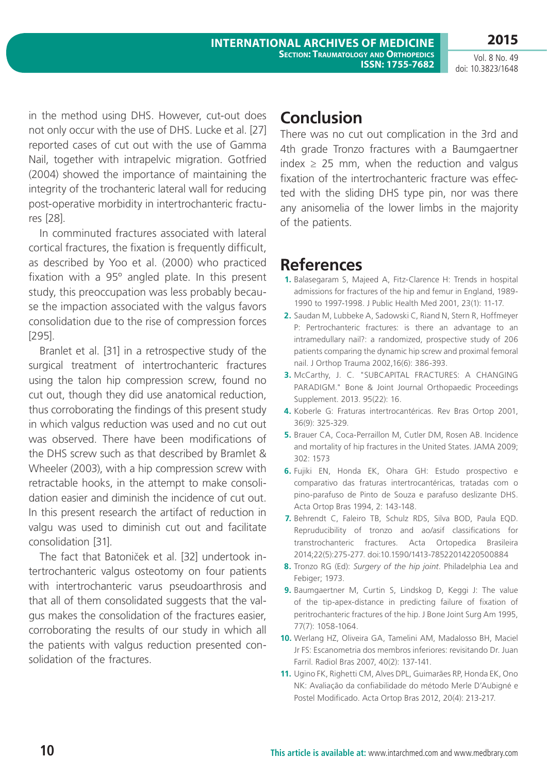in the method using DHS. However, cut-out does not only occur with the use of DHS. Lucke et al. [27] reported cases of cut out with the use of Gamma Nail, together with intrapelvic migration. Gotfried (2004) showed the importance of maintaining the integrity of the trochanteric lateral wall for reducing post-operative morbidity in intertrochanteric fractures [28].

In comminuted fractures associated with lateral cortical fractures, the fixation is frequently difficult, as described by Yoo et al. (2000) who practiced fixation with a 95º angled plate. In this present study, this preoccupation was less probably because the impaction associated with the valgus favors consolidation due to the rise of compression forces [295].

Branlet et al. [31] in a retrospective study of the surgical treatment of intertrochanteric fractures using the talon hip compression screw, found no cut out, though they did use anatomical reduction, thus corroborating the findings of this present study in which valgus reduction was used and no cut out was observed. There have been modifications of the DHS screw such as that described by Bramlet & Wheeler (2003), with a hip compression screw with retractable hooks, in the attempt to make consolidation easier and diminish the incidence of cut out. In this present research the artifact of reduction in valgu was used to diminish cut out and facilitate consolidation [31].

The fact that Batoniček et al. [32] undertook intertrochanteric valgus osteotomy on four patients with intertrochanteric varus pseudoarthrosis and that all of them consolidated suggests that the valgus makes the consolidation of the fractures easier, corroborating the results of our study in which all the patients with valgus reduction presented consolidation of the fractures.

## **Conclusion**

There was no cut out complication in the 3rd and 4th grade Tronzo fractures with a Baumgaertner index  $\geq$  25 mm, when the reduction and valgus fixation of the intertrochanteric fracture was effected with the sliding DHS type pin, nor was there any anisomelia of the lower limbs in the majority of the patients.

## **References**

- **1.** Balasegaram S, Majeed A, Fitz-Clarence H: Trends in hospital admissions for fractures of the hip and femur in England, 1989- 1990 to 1997-1998. J Public Health Med 2001, 23(1): 11-17.
- **2.** Saudan M, Lubbeke A, Sadowski C, Riand N, Stern R, Hoffmeyer P: Pertrochanteric fractures: is there an advantage to an intramedullary nail?: a randomized, prospective study of 206 patients comparing the dynamic hip screw and proximal femoral nail. J Orthop Trauma 2002,16(6): 386-393.
- **3.** McCarthy, J. C. "SUBCAPITAL FRACTURES: A CHANGING PARADIGM." Bone & Joint Journal Orthopaedic Proceedings Supplement. 2013. 95(22): 16.
- **4.** Koberle G: Fraturas intertrocantéricas. Rev Bras Ortop 2001, 36(9): 325-329.
- **5.** Brauer CA, Coca-Perraillon M, Cutler DM, Rosen AB. Incidence and mortality of hip fractures in the United States. JAMA 2009; 302: 1573
- **6.** Fujiki EN, Honda EK, Ohara GH: Estudo prospectivo e comparativo das fraturas intertrocantéricas, tratadas com o pino-parafuso de Pinto de Souza e parafuso deslizante DHS. Acta Ortop Bras 1994, 2: 143-148.
- **7.** Behrendt C, Faleiro TB, Schulz RDS, Silva BOD, Paula EQD. Repruducibility of tronzo and ao/asif classifications for transtrochanteric fractures. Acta Ortopedica Brasileira 2014;22(5):275-277. doi:10.1590/1413-78522014220500884
- **8.** Tronzo RG (Ed): *Surgery of the hip joint*. Philadelphia Lea and Febiger; 1973.
- **9.** Baumgaertner M, Curtin S, Lindskog D, Keggi J: The value of the tip-apex-distance in predicting failure of fixation of peritrochanteric fractures of the hip. J Bone Joint Surg Am 1995, 77(7): 1058-1064.
- **10.** Werlang HZ, Oliveira GA, Tamelini AM, Madalosso BH, Maciel Jr FS: Escanometria dos membros inferiores: revisitando Dr. Juan Farril. Radiol Bras 2007, 40(2): 137-141.
- **11.** Ugino FK, Righetti CM, Alves DPL, Guimarães RP, Honda EK, Ono NK: Avaliação da confiabilidade do método Merle D'Aubigné e Postel Modificado. Acta Ortop Bras 2012, 20(4): 213-217.